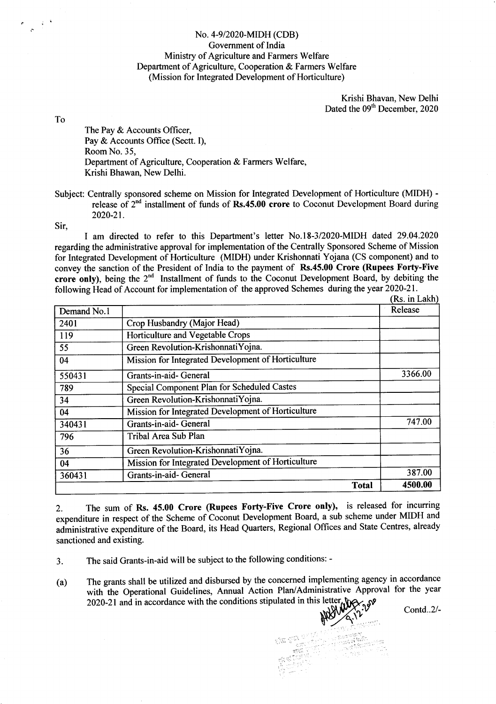## No. 4-9/2020-MIDH (CDB) Government of India Ministry of Agriculture and Farmers Welfare Department of Agriculture, Cooperation & Farmers Welfare (Mission for Integrated Development of Horticulture)

Krishi Bhavan, New Delhi Dated the 09<sup>th</sup> December, 2020

To

The Pay & Accounts Officer, Pay & Accounts Office (Sectt. I), Room No. 35, Department of Agriculture, Cooperation & Farmers Welfare, Krishi Bhawan, New Delhi.

Subject: Centrally sponsored scheme on Mission for Integrated Development of Horticulture (MIDH) release of  $2<sup>nd</sup>$  installment of funds of Rs.45.00 crore to Coconut Development Board during 2020-2t.

Sir,

I am directed to refer to this Department's letter No.I8-312020-N{IDH dated 29.04.2020 regarding the administrative approval for implementation of the Centrally Sponsored Scheme of Mission for Integrated Development of Horticulture (MIDH) under Krishonnati Yojana (CS component) and to convey the sanction of the President of India to the payment of Rs.45.00 Crore (Rupees Forty-Five crore only), being the 2<sup>nd</sup> Installment of funds to the Coconut Development Board, by debiting the following Head of Account for implementation of the approved Schemes during the year 2020-21.  $(Re \in I_Akh)$ 

| Demand No.1 |                                                    | (IS). III Lani<br>Release |
|-------------|----------------------------------------------------|---------------------------|
| 2401        | Crop Husbandry (Major Head)                        |                           |
| 119         | Horticulture and Vegetable Crops                   |                           |
| 55          | Green Revolution-KrishonnatiYojna.                 |                           |
| 04          | Mission for Integrated Development of Horticulture |                           |
| 550431      | Grants-in-aid- General                             | 3366.00                   |
| 789         | Special Component Plan for Scheduled Castes        |                           |
| 34          | Green Revolution-KrishonnatiYojna.                 |                           |
| 04          | Mission for Integrated Development of Horticulture |                           |
| 340431      | Grants-in-aid- General                             | 747.00                    |
| 796         | Tribal Area Sub Plan                               |                           |
| 36          | Green Revolution-KrishonnatiYojna.                 |                           |
| 04          | Mission for Integrated Development of Horticulture |                           |
| 360431      | Grants-in-aid- General                             | 387.00                    |
|             | <b>Total</b>                                       | 4500.00                   |

2. The sum of Rs. 45.00 Crore (Rupees Forty-Five Crore only), is released for incurring expenditure in respect of the Scheme of Coconut Development Board, a sub scheme under MIDH and administrative expenditure of the Board, its Head Quarters, Regional Offices and State Centres, already sanctioned and existing.

3. The said Grants-in-aid will be subject to the following conditions: -

(a) The grants shall be utitized and disbursed by the concemed implementing agency in accordance with the Operational Guidelines, Annual Action Plan/Administrative Approval for the year  $2020-21$  and in accordance with the conditions stipulated in this lette

Contd..2/-

 $\mathbb{R}$  ,  $\mathbb{Z}_0$ il .<br>'artist'illi  $\mathbb{C} \subset \mathbb{C}^{n \times n}$  , where  $\mathbb{C}^{n \times n}$  ,  $\mathbb{C}^{n \times n}$  ,  $\mathbb{C}^{n \times n}$  ,  $\mathbb{C}^{n \times n}$  ,  $\mathbb{C}^{n \times n}$  ,  $\mathbb{C}^{n \times n}$  ,  $\mathbb{C}^{n \times n}$ ., 11': ' line and a line and a line and a line and a line and a line and a line and a line and a line and a line<br>11': ' line and a line and a line and a line and a line and a line and a line and a line and a line and a line  $\frac{\text{eV}}{\text{eV}}$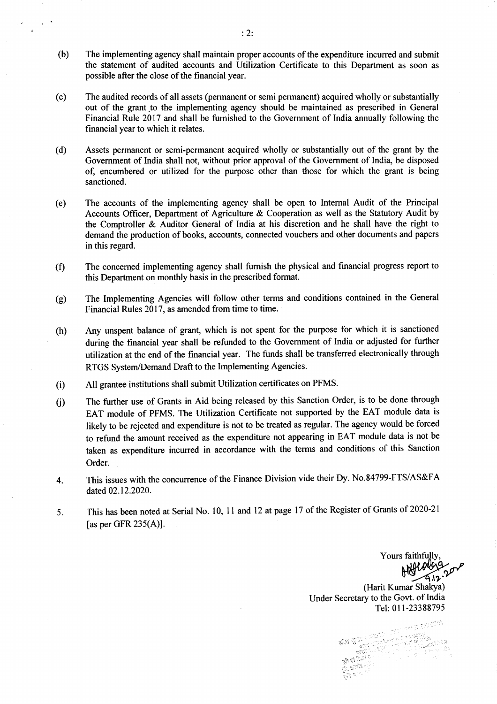- (b) The implementing agency shall maintain proper accounts of the expenditure incurred and submit the statement of audited accounts and Utilization Certificate to this Department as soon as possible after the close of the financial year.
- (c) The audited records of all assets (permanent or semi permanent) acquired wholly or substantially out of the grant to the implementing agency should be maintained as prescribed in General Financial Rule 2017 and shall be fumished to the Government of India annually following the financial year to which it relates.
- (d) Assets permanent or semi-permanent acquired wholly or substantially out of the grant by the Government of India shall not, without prior approval of the Government of India, be disposed of, encumbered or utilized for the purpose other than those for which the grant is being sanctioned.
- (e) The accounts of the implementing agency shall be open to Intemal Audit of the Principal Accounts Officer, Department of Agriculture & Cooperation as well as the Statutory Audit by the Comptroller & Auditor General of lndia at his discretion and he shall have the right to demand the production of books, accounts, connected vouchers and other documents and papers in this regard.
- (f) The concerned implementing agency shall fumish the physical and financial progress report to this Department on monthly basis in the prescribed format.
- The Implementing Agencies will follow other terms and conditions contained in the General Financial Rules 2017, as amended from time to time. (e)
- (h) Any unspent balance of grant, which is not spent for the purpose for which it is sanctioned during the financial year shall be refunded to the Government of India or adjusted for further utilization at the end of the financial year. The funds shall be transferred electronically through RTGS System/Demand Draft to the Implementing Agencies.
- (i) All grantee institutions shall submit Utilization certificates on PFMS.
- 0) The further use of Grants in Aid being released by this Sanction Order, is to be done through EAT module of PFMS. The Utilization Certificate not supported by the EAT module data is likely to be rejected and expenditure is not to be treated as regular. The agency would be forced to refund the amount received as the expenditure not appearing in EAT module data is not be taken as expenditure incurred in accordance with the terms and conditions of this Sanction Order.
- 4. This issues with the concurence of the Finance Division vide their Dy. No.84799-FTS/AS&FA dated 02.12.2020.
- 5. This has been noted at Serial No. 10, 11 and 12 at page 17 of the Register of Grants of 2020-21 [as per GFR 235(A)].

Yours faithfully Herolds<br>Hill Allenda<br>(Harit Kumar Shakya) Under Secretary to the Govt. of India Tel: 0l l-23388795

. ) .-.1'\:, ,,  $\frac{1}{2}$  ,  $\frac{1}{2}$  ,  $\frac{1}{2}$  ,  $\frac{1}{2}$ 

lili

 $\mathcal{E}^{\prime\prime}a$